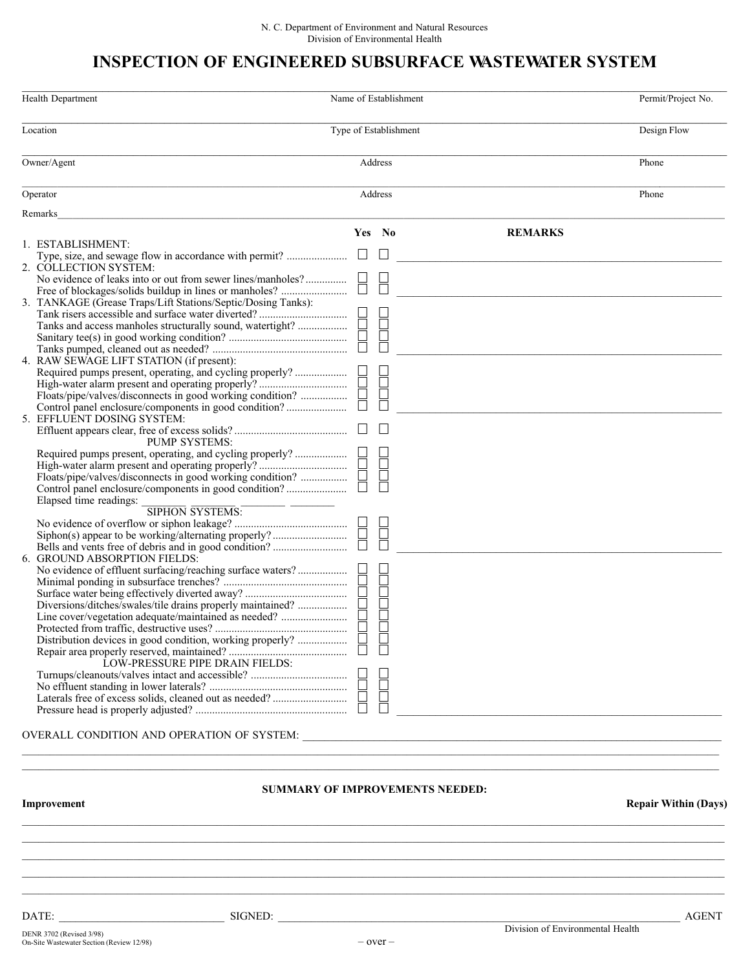## INSPECTION OF ENGINEERED SUBSURFACE WASTEWATER SYSTEM

| <b>Health Department</b>                                                             | Name of Establishment                  |                | Permit/Project No. |
|--------------------------------------------------------------------------------------|----------------------------------------|----------------|--------------------|
| Location                                                                             | Type of Establishment                  |                | Design Flow        |
| Owner/Agent                                                                          | Address                                |                | Phone              |
| Operator                                                                             | Address                                |                | Phone              |
| Remarks                                                                              |                                        |                |                    |
|                                                                                      | Yes No                                 | <b>REMARKS</b> |                    |
| 1. ESTABLISHMENT:                                                                    |                                        |                |                    |
|                                                                                      |                                        |                |                    |
| 2. COLLECTION SYSTEM:<br>No evidence of leaks into or out from sewer lines/manholes? |                                        |                |                    |
|                                                                                      |                                        |                |                    |
| 3. TANKAGE (Grease Traps/Lift Stations/Septic/Dosing Tanks):                         |                                        |                |                    |
|                                                                                      | H<br>H<br>H                            |                |                    |
| Tanks and access manholes structurally sound, watertight?                            |                                        |                |                    |
|                                                                                      |                                        |                |                    |
| 4. RAW SEWAGE LIFT STATION (if present):                                             |                                        |                |                    |
| Required pumps present, operating, and cycling properly?                             |                                        |                |                    |
| Floats/pipe/valves/disconnects in good working condition?                            | $\Box$                                 |                |                    |
|                                                                                      |                                        |                |                    |
| 5. EFFLUENT DOSING SYSTEM:                                                           |                                        |                |                    |
|                                                                                      | $\Box$                                 |                |                    |
| <b>PUMP SYSTEMS:</b>                                                                 |                                        |                |                    |
| Required pumps present, operating, and cycling properly?                             | $\overline{\phantom{a}}$               |                |                    |
| Floats/pipe/valves/disconnects in good working condition?                            | Ē                                      |                |                    |
| Control panel enclosure/components in good condition?                                |                                        |                |                    |
| Elapsed time readings:<br>SIPHON SYSTEMS:                                            |                                        |                |                    |
|                                                                                      |                                        |                |                    |
|                                                                                      | $\overline{\Box}$                      |                |                    |
|                                                                                      |                                        |                |                    |
| 6. GROUND ABSORPTION FIELDS:                                                         |                                        |                |                    |
|                                                                                      |                                        |                |                    |
|                                                                                      |                                        |                |                    |
| Diversions/ditches/swales/tile drains properly maintained?                           |                                        |                |                    |
| Line cover/vegetation adequate/maintained as needed?                                 |                                        |                |                    |
|                                                                                      | $\Box$                                 |                |                    |
|                                                                                      |                                        |                |                    |
| LOW-PRESSURE PIPE DRAIN FIELDS:                                                      |                                        |                |                    |
|                                                                                      |                                        |                |                    |
|                                                                                      |                                        |                |                    |
|                                                                                      | Ĕ                                      |                |                    |
|                                                                                      |                                        |                |                    |
|                                                                                      |                                        |                |                    |
|                                                                                      |                                        |                |                    |
|                                                                                      | <b>SUMMARY OF IMPROVEMENTS NEEDED:</b> |                |                    |
| Improvement<br><b>Repair Within (Days)</b>                                           |                                        |                |                    |

DATE: \_\_\_\_\_\_\_\_\_\_\_\_\_\_\_\_\_\_\_\_\_\_\_\_\_\_\_\_\_\_ SIGNED: \_\_\_\_\_\_\_\_\_\_\_\_\_\_\_\_\_\_\_\_\_\_\_\_\_\_\_\_\_\_\_\_\_\_\_\_\_\_\_\_\_\_\_\_\_\_\_\_\_\_\_\_\_\_\_\_\_\_\_\_\_\_\_\_\_\_\_\_\_\_\_\_\_ AGENT

Division of Environmental Health

 $\_$  ,  $\_$  ,  $\_$  ,  $\_$  ,  $\_$  ,  $\_$  ,  $\_$  ,  $\_$  ,  $\_$  ,  $\_$  ,  $\_$  ,  $\_$  ,  $\_$  ,  $\_$  ,  $\_$  ,  $\_$  ,  $\_$  ,  $\_$  ,  $\_$  ,  $\_$  ,  $\_$  ,  $\_$  ,  $\_$  ,  $\_$  ,  $\_$  ,  $\_$  ,  $\_$  ,  $\_$  ,  $\_$  ,  $\_$  ,  $\_$  ,  $\_$  ,  $\_$  ,  $\_$  ,  $\_$  ,  $\_$  ,  $\_$  ,  $\_$  ,  $\_$  ,  $\_$  ,  $\_$  ,  $\_$  ,  $\_$  ,  $\_$  ,  $\_$  ,  $\_$  ,  $\_$  ,  $\_$  ,  $\_$  ,  $\_$  ,  $\_$  ,  $\_$  ,  $\_$  ,  $\_$  ,  $\_$  ,  $\_$  ,  $\_$  ,  $\_$  ,  $\_$  ,  $\_$  ,  $\_$  ,  $\_$  ,  $\_$  ,  $\_$  ,  $\_$  ,  $\_$  ,  $\_$  ,  $\_$  ,  $\_$  ,  $\_$  ,  $\_$  ,  $\_$  ,  $\_$  ,  $\_$  ,  $\_$  , and the state of the state of the state of the state of the state of the state of the state of the state of the state of the state of the state of the state of the state of the state of the state of the state of the  $\_$  ,  $\_$  ,  $\_$  ,  $\_$  ,  $\_$  ,  $\_$  ,  $\_$  ,  $\_$  ,  $\_$  ,  $\_$  ,  $\_$  ,  $\_$  ,  $\_$  ,  $\_$  ,  $\_$  ,  $\_$  ,  $\_$  ,  $\_$  ,  $\_$  ,  $\_$  ,  $\_$  ,  $\_$  ,  $\_$  ,  $\_$  ,  $\_$  ,  $\_$  ,  $\_$  ,  $\_$  ,  $\_$  ,  $\_$  ,  $\_$  ,  $\_$  ,  $\_$  ,  $\_$  ,  $\_$  ,  $\_$  ,  $\_$  ,  $\_$  ,  $\_$  ,  $\_$  ,  $\_$  ,  $\_$  ,  $\_$  ,  $\_$  ,  $\_$  ,  $\_$  ,  $\_$  ,  $\_$  ,  $\_$  ,  $\_$  ,  $\_$  ,  $\_$  ,  $\_$  ,  $\_$  ,  $\_$  ,  $\_$  ,  $\_$  ,  $\_$  ,  $\_$  ,  $\_$  ,  $\_$  ,  $\_$  ,  $\_$  ,  $\_$  ,  $\_$  ,  $\_$  ,  $\_$  ,  $\_$  ,  $\_$  ,  $\_$  ,  $\_$  ,  $\_$  ,  $\_$  ,  $\_$  ,